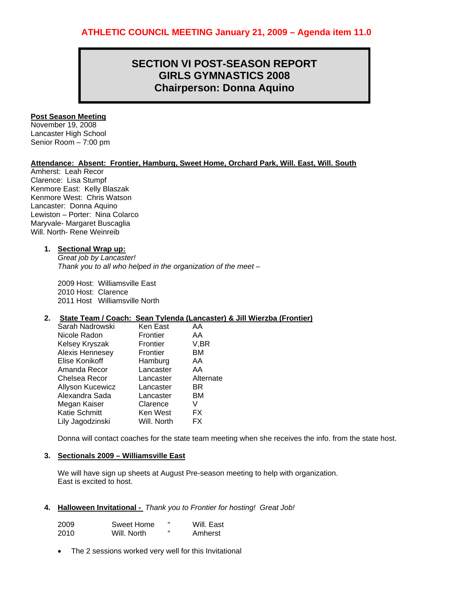# **SECTION VI POST-SEASON REPORT GIRLS GYMNASTICS 2008 Chairperson: Donna Aquino**

## **Post Season Meeting**

November 19, 2008 Lancaster High School Senior Room – 7:00 pm

# **Attendance: Absent: Frontier, Hamburg, Sweet Home, Orchard Park, Will. East, Will. South**

Amherst: Leah Recor Clarence: Lisa Stumpf Kenmore East: Kelly Blaszak Kenmore West: Chris Watson Lancaster: Donna Aquino Lewiston – Porter: Nina Colarco Maryvale- Margaret Buscaglia Will. North- Rene Weinreib

## **1. Sectional Wrap up:**

*Great job by Lancaster! Thank you to all who helped in the organization of the meet –* 

2009 Host: Williamsville East 2010 Host: Clarence 2011 Host Williamsville North

## **2. State Team / Coach: Sean Tylenda (Lancaster) & Jill Wierzba (Frontier)**

| Sarah Nadrowski         | Ken East    | AA        |
|-------------------------|-------------|-----------|
| Nicole Radon            | Frontier    | AA        |
| Kelsey Kryszak          | Frontier    | V,BR      |
| Alexis Hennesey         | Frontier    | BМ        |
| Elise Konikoff          | Hamburg     | AA        |
| Amanda Recor            | Lancaster   | AA        |
| Chelsea Recor           | Lancaster   | Alternate |
| <b>Allyson Kucewicz</b> | Lancaster   | BR        |
| Alexandra Sada          | Lancaster   | ВM        |
| Megan Kaiser            | Clarence    | V         |
| Katie Schmitt           | Ken West    | FX        |
| Lily Jagodzinski        | Will. North | FX        |

Donna will contact coaches for the state team meeting when she receives the info. from the state host.

## **3. Sectionals 2009 – Williamsville East**

We will have sign up sheets at August Pre-season meeting to help with organization. East is excited to host.

## **4. Halloween Invitational -** *Thank you to Frontier for hosting! Great Job!*

| 2009 | Sweet Home  | " | Will. East |
|------|-------------|---|------------|
| 2010 | Will. North | " | Amherst    |

• The 2 sessions worked very well for this Invitational